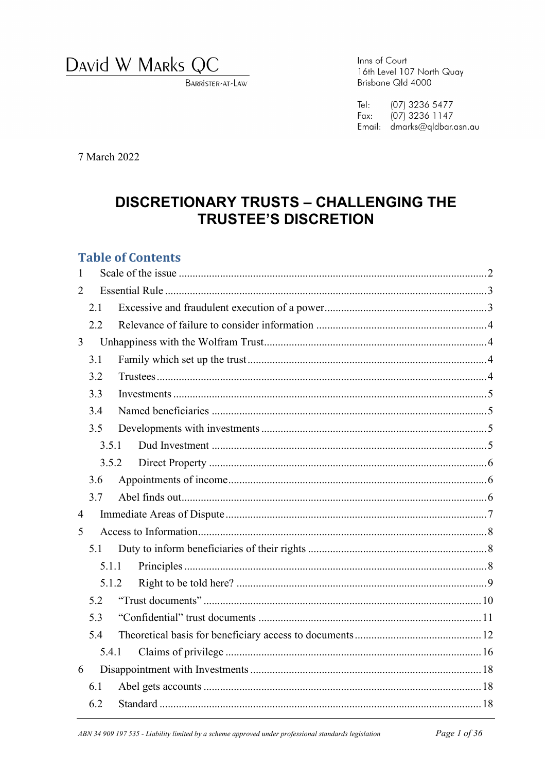David W Marks QC

BARRISTER-AT-LAW

Inns of Court 16th Level 107 North Quay Brisbane Qld 4000

 $Te$ : (07) 3236 5477  $(07)$  3236 1147 Fax: Email: dmarks@qldbar.asn.au

7 March 2022

# **DISCRETIONARY TRUSTS - CHALLENGING THE TRUSTEE'S DISCRETION**

### **Table of Contents**

| 1                     |       |  |  |  |  |
|-----------------------|-------|--|--|--|--|
| $\mathcal{D}_{\cdot}$ |       |  |  |  |  |
|                       | 2.1   |  |  |  |  |
|                       | 2.2   |  |  |  |  |
| $\overline{3}$        |       |  |  |  |  |
|                       | 3.1   |  |  |  |  |
|                       | 3.2   |  |  |  |  |
|                       | 3.3   |  |  |  |  |
|                       | 3.4   |  |  |  |  |
|                       | 3.5   |  |  |  |  |
|                       | 3.5.1 |  |  |  |  |
|                       | 3.5.2 |  |  |  |  |
|                       | 3.6   |  |  |  |  |
|                       | 3.7   |  |  |  |  |
| $\overline{4}$        |       |  |  |  |  |
| 5                     |       |  |  |  |  |
|                       | 5.1   |  |  |  |  |
|                       | 5.1.1 |  |  |  |  |
| 5.1.2                 |       |  |  |  |  |
|                       | 5.2   |  |  |  |  |
|                       | 5.3   |  |  |  |  |
|                       | 5.4   |  |  |  |  |
|                       | 5.4.1 |  |  |  |  |
| 6                     |       |  |  |  |  |
|                       | 6.1   |  |  |  |  |
|                       | 6.2   |  |  |  |  |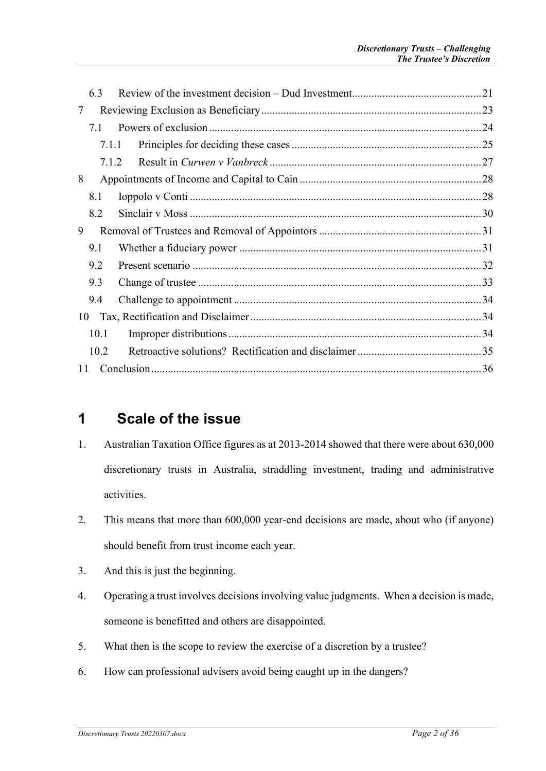|    | 6.3   |  |
|----|-------|--|
| 7  |       |  |
|    | 7.1   |  |
|    | 7.1.1 |  |
|    | 7.1.2 |  |
| 8  |       |  |
|    | 8.1   |  |
|    | 8.2   |  |
| 9  |       |  |
|    | 9.1   |  |
|    | 9.2   |  |
|    | 9.3   |  |
|    | 9.4   |  |
| 10 |       |  |
|    | 10.1  |  |
|    | 10.2  |  |
| 11 |       |  |
|    |       |  |

## <span id="page-1-0"></span>**1 Scale of the issue**

- 1. Australian Taxation Office figures as at 2013-2014 showed that there were about 630,000 discretionary trusts in Australia, straddling investment, trading and administrative activities.
- 2. This means that more than 600,000 year-end decisions are made, about who (if anyone) should benefit from trust income each year.
- 3. And this is just the beginning.
- 4. Operating a trust involves decisionsinvolving value judgments. When a decision is made, someone is benefitted and others are disappointed.
- 5. What then is the scope to review the exercise of a discretion by a trustee?
- 6. How can professional advisers avoid being caught up in the dangers?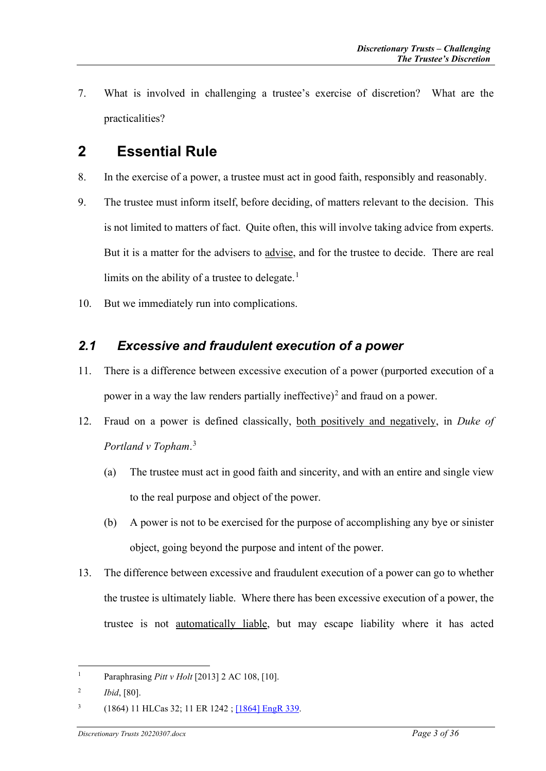7. What is involved in challenging a trustee's exercise of discretion? What are the practicalities?

# <span id="page-2-0"></span>**2 Essential Rule**

- 8. In the exercise of a power, a trustee must act in good faith, responsibly and reasonably.
- 9. The trustee must inform itself, before deciding, of matters relevant to the decision. This is not limited to matters of fact. Quite often, this will involve taking advice from experts. But it is a matter for the advisers to advise, and for the trustee to decide. There are real limits on the ability of a trustee to delegate.<sup>[1](#page-2-2)</sup>
- 10. But we immediately run into complications.

### <span id="page-2-1"></span>*2.1 Excessive and fraudulent execution of a power*

- 11. There is a difference between excessive execution of a power (purported execution of a power in a way the law renders partially ineffective)<sup>[2](#page-2-3)</sup> and fraud on a power.
- 12. Fraud on a power is defined classically, both positively and negatively, in *Duke of Portland v Topham*. [3](#page-2-4)
	- (a) The trustee must act in good faith and sincerity, and with an entire and single view to the real purpose and object of the power.
	- (b) A power is not to be exercised for the purpose of accomplishing any bye or sinister object, going beyond the purpose and intent of the power.
- 13. The difference between excessive and fraudulent execution of a power can go to whether the trustee is ultimately liable. Where there has been excessive execution of a power, the trustee is not automatically liable, but may escape liability where it has acted

<span id="page-2-2"></span><sup>&</sup>lt;sup>1</sup> Paraphrasing *Pitt v Holt* [2013] 2 AC 108, [10].

<span id="page-2-3"></span><sup>2</sup> *Ibid*, [80].

<span id="page-2-4"></span><sup>3</sup> (1864) 11 HLCas 32; 11 ER 1242 [; \[1864\] EngR 339.](http://www.worldlii.org/cgi-bin/disp.pl/int/cases/EngR/1864/339.html?query=)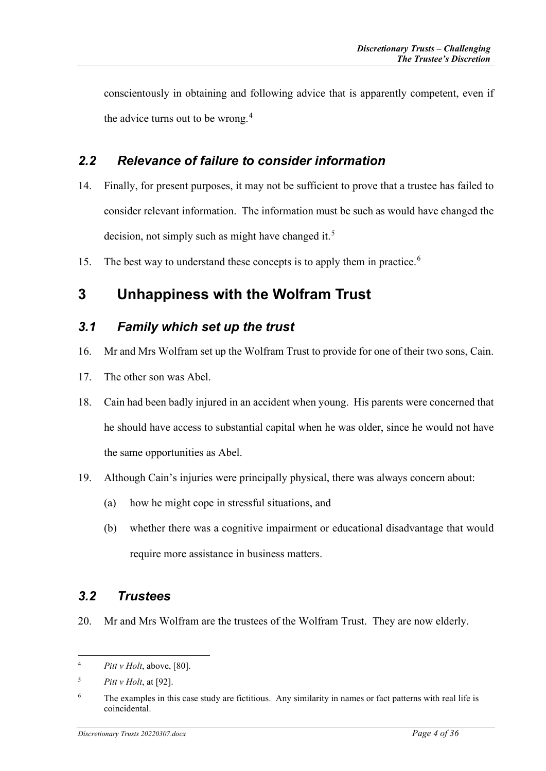conscientously in obtaining and following advice that is apparently competent, even if the advice turns out to be wrong.<sup>[4](#page-3-4)</sup>

## <span id="page-3-0"></span>*2.2 Relevance of failure to consider information*

- 14. Finally, for present purposes, it may not be sufficient to prove that a trustee has failed to consider relevant information. The information must be such as would have changed the decision, not simply such as might have changed it.<sup>[5](#page-3-5)</sup>
- 15. The best way to understand these concepts is to apply them in practice.<sup>[6](#page-3-6)</sup>

# <span id="page-3-1"></span>**3 Unhappiness with the Wolfram Trust**

### <span id="page-3-2"></span>*3.1 Family which set up the trust*

- 16. Mr and Mrs Wolfram set up the Wolfram Trust to provide for one of their two sons, Cain.
- 17. The other son was Abel.
- 18. Cain had been badly injured in an accident when young. His parents were concerned that he should have access to substantial capital when he was older, since he would not have the same opportunities as Abel.
- 19. Although Cain's injuries were principally physical, there was always concern about:
	- (a) how he might cope in stressful situations, and
	- (b) whether there was a cognitive impairment or educational disadvantage that would require more assistance in business matters.

## <span id="page-3-3"></span>*3.2 Trustees*

20. Mr and Mrs Wolfram are the trustees of the Wolfram Trust. They are now elderly.

<span id="page-3-4"></span><sup>4</sup> *Pitt v Holt*, above, [80].

<span id="page-3-5"></span><sup>5</sup> *Pitt v Holt*, at [92].

<span id="page-3-6"></span><sup>&</sup>lt;sup>6</sup> The examples in this case study are fictitious. Any similarity in names or fact patterns with real life is coincidental.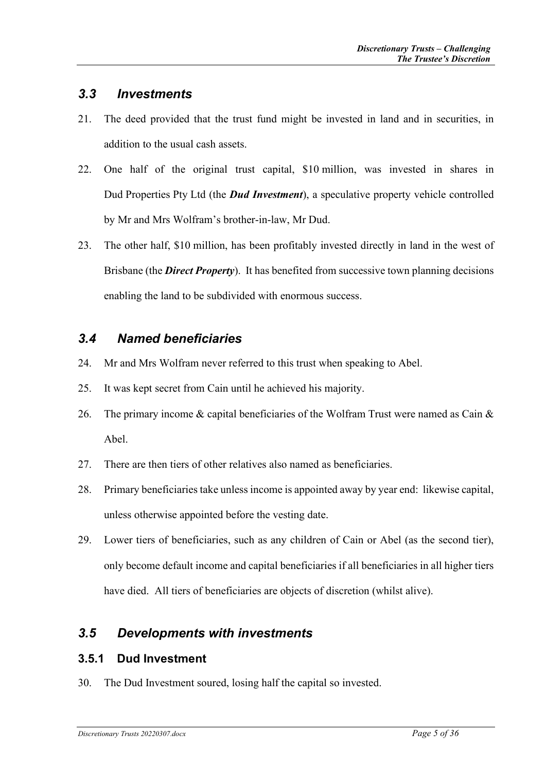### <span id="page-4-0"></span>*3.3 Investments*

- 21. The deed provided that the trust fund might be invested in land and in securities, in addition to the usual cash assets.
- 22. One half of the original trust capital, \$10 million, was invested in shares in Dud Properties Pty Ltd (the *Dud Investment*), a speculative property vehicle controlled by Mr and Mrs Wolfram's brother-in-law, Mr Dud.
- 23. The other half, \$10 million, has been profitably invested directly in land in the west of Brisbane (the *Direct Property*). It has benefited from successive town planning decisions enabling the land to be subdivided with enormous success.

### <span id="page-4-1"></span>*3.4 Named beneficiaries*

- 24. Mr and Mrs Wolfram never referred to this trust when speaking to Abel.
- 25. It was kept secret from Cain until he achieved his majority.
- 26. The primary income  $\&$  capital beneficiaries of the Wolfram Trust were named as Cain  $\&$ Abel.
- 27. There are then tiers of other relatives also named as beneficiaries.
- 28. Primary beneficiaries take unless income is appointed away by year end: likewise capital, unless otherwise appointed before the vesting date.
- 29. Lower tiers of beneficiaries, such as any children of Cain or Abel (as the second tier), only become default income and capital beneficiaries if all beneficiaries in all higher tiers have died. All tiers of beneficiaries are objects of discretion (whilst alive).

## <span id="page-4-2"></span>*3.5 Developments with investments*

#### <span id="page-4-3"></span>**3.5.1 Dud Investment**

30. The Dud Investment soured, losing half the capital so invested.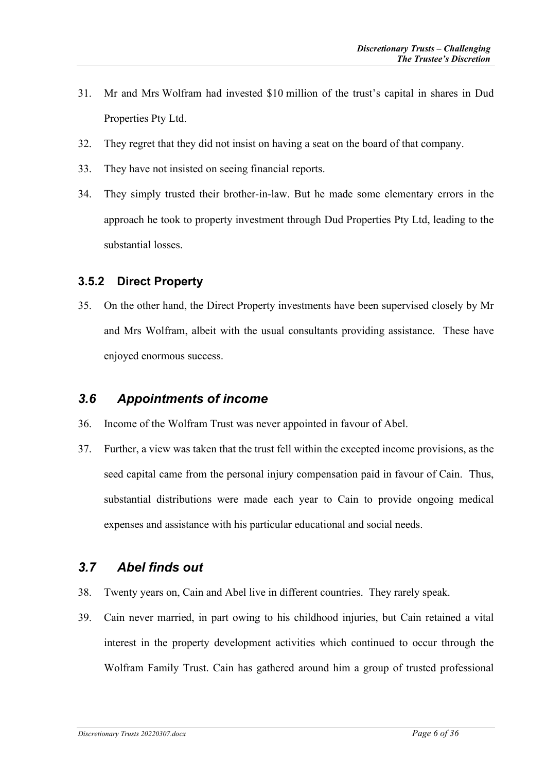- 31. Mr and Mrs Wolfram had invested \$10 million of the trust's capital in shares in Dud Properties Pty Ltd.
- 32. They regret that they did not insist on having a seat on the board of that company.
- 33. They have not insisted on seeing financial reports.
- 34. They simply trusted their brother-in-law. But he made some elementary errors in the approach he took to property investment through Dud Properties Pty Ltd, leading to the substantial losses.

#### <span id="page-5-0"></span>**3.5.2 Direct Property**

35. On the other hand, the Direct Property investments have been supervised closely by Mr and Mrs Wolfram, albeit with the usual consultants providing assistance. These have enjoyed enormous success.

## <span id="page-5-1"></span>*3.6 Appointments of income*

- 36. Income of the Wolfram Trust was never appointed in favour of Abel.
- 37. Further, a view was taken that the trust fell within the excepted income provisions, as the seed capital came from the personal injury compensation paid in favour of Cain. Thus, substantial distributions were made each year to Cain to provide ongoing medical expenses and assistance with his particular educational and social needs.

## <span id="page-5-2"></span>*3.7 Abel finds out*

- 38. Twenty years on, Cain and Abel live in different countries. They rarely speak.
- 39. Cain never married, in part owing to his childhood injuries, but Cain retained a vital interest in the property development activities which continued to occur through the Wolfram Family Trust. Cain has gathered around him a group of trusted professional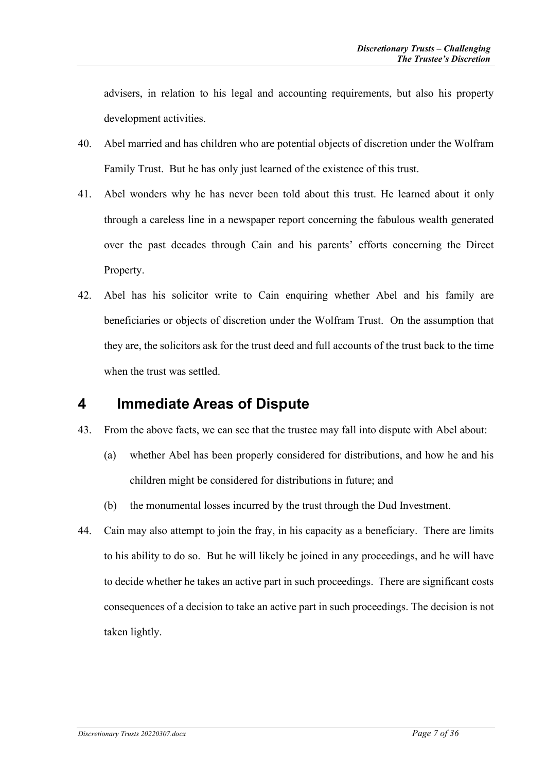advisers, in relation to his legal and accounting requirements, but also his property development activities.

- 40. Abel married and has children who are potential objects of discretion under the Wolfram Family Trust. But he has only just learned of the existence of this trust.
- 41. Abel wonders why he has never been told about this trust. He learned about it only through a careless line in a newspaper report concerning the fabulous wealth generated over the past decades through Cain and his parents' efforts concerning the Direct Property.
- 42. Abel has his solicitor write to Cain enquiring whether Abel and his family are beneficiaries or objects of discretion under the Wolfram Trust. On the assumption that they are, the solicitors ask for the trust deed and full accounts of the trust back to the time when the trust was settled.

## <span id="page-6-0"></span>**4 Immediate Areas of Dispute**

- 43. From the above facts, we can see that the trustee may fall into dispute with Abel about:
	- (a) whether Abel has been properly considered for distributions, and how he and his children might be considered for distributions in future; and
	- (b) the monumental losses incurred by the trust through the Dud Investment.
- 44. Cain may also attempt to join the fray, in his capacity as a beneficiary. There are limits to his ability to do so. But he will likely be joined in any proceedings, and he will have to decide whether he takes an active part in such proceedings. There are significant costs consequences of a decision to take an active part in such proceedings. The decision is not taken lightly.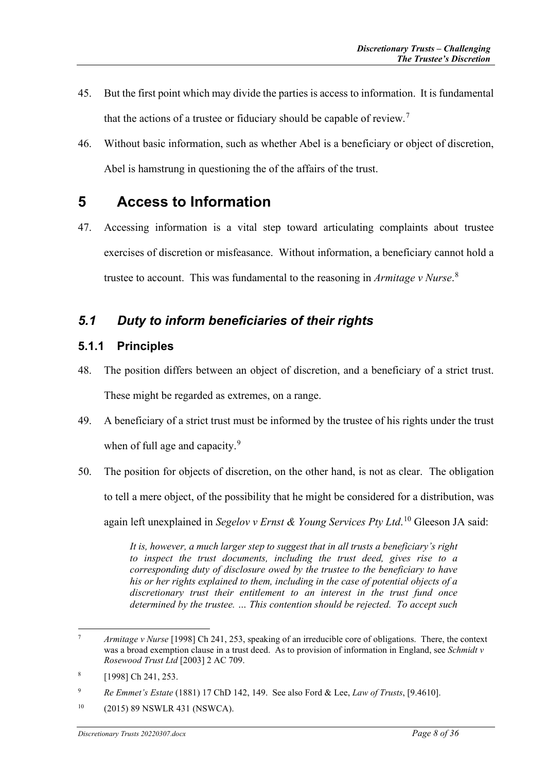- 45. But the first point which may divide the parties is access to information. It is fundamental that the actions of a trustee or fiduciary should be capable of review.<sup>[7](#page-7-3)</sup>
- 46. Without basic information, such as whether Abel is a beneficiary or object of discretion, Abel is hamstrung in questioning the of the affairs of the trust.

# <span id="page-7-0"></span>**5 Access to Information**

47. Accessing information is a vital step toward articulating complaints about trustee exercises of discretion or misfeasance. Without information, a beneficiary cannot hold a trustee to account. This was fundamental to the reasoning in *Armitage v Nurse*. [8](#page-7-4)

## <span id="page-7-1"></span>*5.1 Duty to inform beneficiaries of their rights*

#### <span id="page-7-2"></span>**5.1.1 Principles**

- 48. The position differs between an object of discretion, and a beneficiary of a strict trust. These might be regarded as extremes, on a range.
- 49. A beneficiary of a strict trust must be informed by the trustee of his rights under the trust when of full age and capacity.<sup>[9](#page-7-5)</sup>
- 50. The position for objects of discretion, on the other hand, is not as clear. The obligation to tell a mere object, of the possibility that he might be considered for a distribution, was again left unexplained in *Segelov v Ernst & Young Services Pty Ltd*. [10](#page-7-6) Gleeson JA said:

*It is, however, a much larger step to suggest that in all trusts a beneficiary's right to inspect the trust documents, including the trust deed, gives rise to a corresponding duty of disclosure owed by the trustee to the beneficiary to have his or her rights explained to them, including in the case of potential objects of a discretionary trust their entitlement to an interest in the trust fund once determined by the trustee. … This contention should be rejected. To accept such* 

<span id="page-7-3"></span><sup>7</sup> *Armitage v Nurse* [1998] Ch 241, 253, speaking of an irreducible core of obligations. There, the context was a broad exemption clause in a trust deed. As to provision of information in England, see *Schmidt v Rosewood Trust Ltd* [2003] 2 AC 709.

<span id="page-7-4"></span> $[1998]$  Ch 241, 253.

<span id="page-7-5"></span><sup>9</sup> *Re Emmet's Estate* (1881) 17 ChD 142, 149. See also Ford & Lee, *Law of Trusts*, [9.4610].

<span id="page-7-6"></span><sup>10</sup> (2015) 89 NSWLR 431 (NSWCA).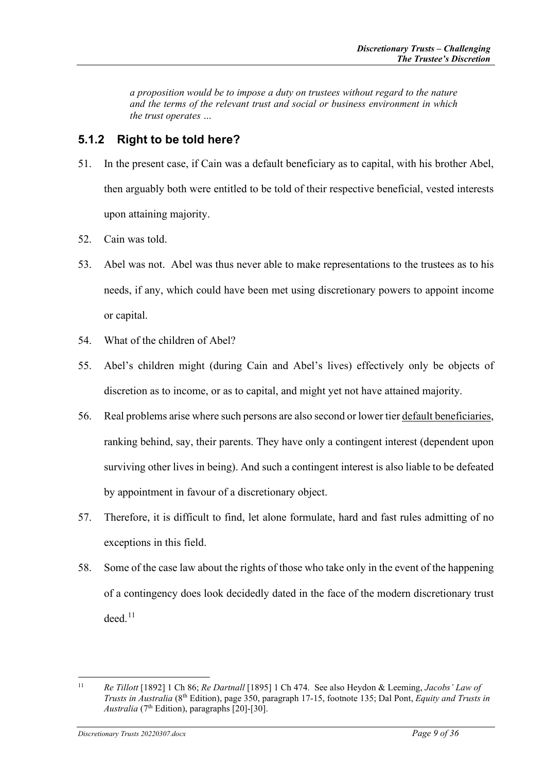*a proposition would be to impose a duty on trustees without regard to the nature and the terms of the relevant trust and social or business environment in which the trust operates …*

#### <span id="page-8-0"></span>**5.1.2 Right to be told here?**

- 51. In the present case, if Cain was a default beneficiary as to capital, with his brother Abel, then arguably both were entitled to be told of their respective beneficial, vested interests upon attaining majority.
- 52. Cain was told.
- 53. Abel was not. Abel was thus never able to make representations to the trustees as to his needs, if any, which could have been met using discretionary powers to appoint income or capital.
- 54. What of the children of Abel?
- 55. Abel's children might (during Cain and Abel's lives) effectively only be objects of discretion as to income, or as to capital, and might yet not have attained majority.
- 56. Real problems arise where such persons are also second or lower tier default beneficiaries, ranking behind, say, their parents. They have only a contingent interest (dependent upon surviving other lives in being). And such a contingent interest is also liable to be defeated by appointment in favour of a discretionary object.
- 57. Therefore, it is difficult to find, let alone formulate, hard and fast rules admitting of no exceptions in this field.
- 58. Some of the case law about the rights of those who take only in the event of the happening of a contingency does look decidedly dated in the face of the modern discretionary trust  $deed.<sup>11</sup>$  $deed.<sup>11</sup>$  $deed.<sup>11</sup>$

<span id="page-8-1"></span><sup>11</sup> *Re Tillott* [1892] 1 Ch 86; *Re Dartnall* [1895] 1 Ch 474. See also Heydon & Leeming, *Jacobs' Law of Trusts in Australia* (8th Edition), page 350, paragraph 17-15, footnote 135; Dal Pont, *Equity and Trusts in Australia* (7th Edition), paragraphs [20]-[30].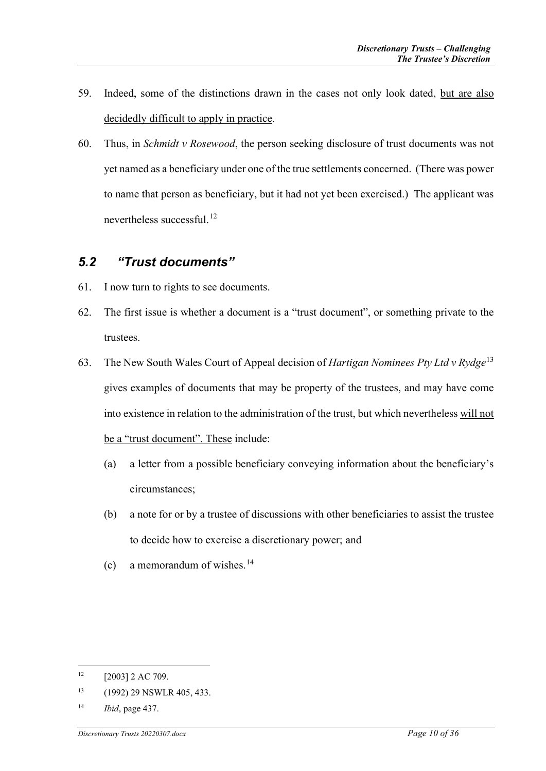- 59. Indeed, some of the distinctions drawn in the cases not only look dated, but are also decidedly difficult to apply in practice.
- 60. Thus, in *Schmidt v Rosewood*, the person seeking disclosure of trust documents was not yet named as a beneficiary under one of the true settlements concerned. (There was power to name that person as beneficiary, but it had not yet been exercised.) The applicant was nevertheless successful.[12](#page-9-1)

### <span id="page-9-0"></span>*5.2 "Trust documents"*

- 61. I now turn to rights to see documents.
- 62. The first issue is whether a document is a "trust document", or something private to the trustees.
- 63. The New South Wales Court of Appeal decision of *Hartigan Nominees Pty Ltd v Rydge*[13](#page-9-2) gives examples of documents that may be property of the trustees, and may have come into existence in relation to the administration of the trust, but which nevertheless will not be a "trust document". These include:
	- (a) a letter from a possible beneficiary conveying information about the beneficiary's circumstances;
	- (b) a note for or by a trustee of discussions with other beneficiaries to assist the trustee to decide how to exercise a discretionary power; and
	- (c) a memorandum of wishes. $^{14}$  $^{14}$  $^{14}$

<span id="page-9-1"></span> $12$  [2003] 2 AC 709.

<span id="page-9-2"></span><sup>13</sup> (1992) 29 NSWLR 405, 433.

<span id="page-9-3"></span><sup>14</sup> *Ibid*, page 437.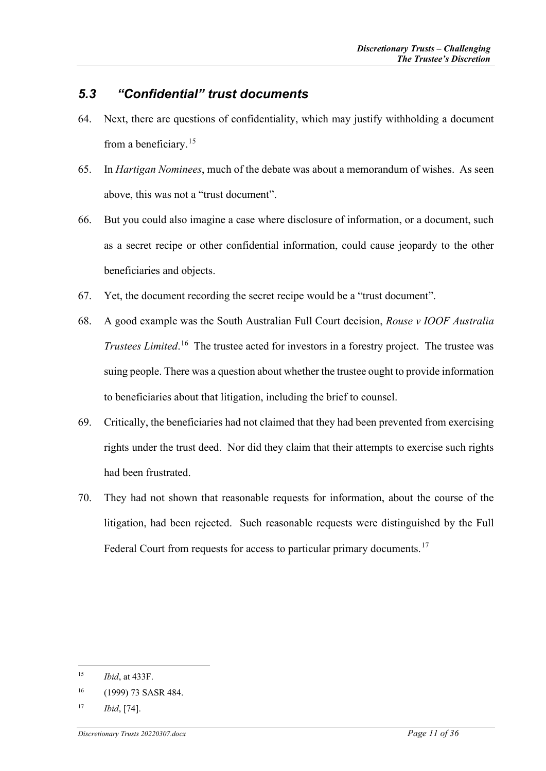### <span id="page-10-0"></span>*5.3 "Confidential" trust documents*

- 64. Next, there are questions of confidentiality, which may justify withholding a document from a beneficiary.[15](#page-10-1)
- 65. In *Hartigan Nominees*, much of the debate was about a memorandum of wishes. As seen above, this was not a "trust document".
- 66. But you could also imagine a case where disclosure of information, or a document, such as a secret recipe or other confidential information, could cause jeopardy to the other beneficiaries and objects.
- 67. Yet, the document recording the secret recipe would be a "trust document".
- 68. A good example was the South Australian Full Court decision, *Rouse v IOOF Australia Trustees Limited*. [16](#page-10-2) The trustee acted for investors in a forestry project. The trustee was suing people. There was a question about whether the trustee ought to provide information to beneficiaries about that litigation, including the brief to counsel.
- 69. Critically, the beneficiaries had not claimed that they had been prevented from exercising rights under the trust deed. Nor did they claim that their attempts to exercise such rights had been frustrated.
- 70. They had not shown that reasonable requests for information, about the course of the litigation, had been rejected. Such reasonable requests were distinguished by the Full Federal Court from requests for access to particular primary documents.<sup>[17](#page-10-3)</sup>

<span id="page-10-1"></span><sup>15</sup> *Ibid*, at 433F.

<span id="page-10-2"></span><sup>16</sup> (1999) 73 SASR 484.

<span id="page-10-3"></span><sup>17</sup> *Ibid*, [74].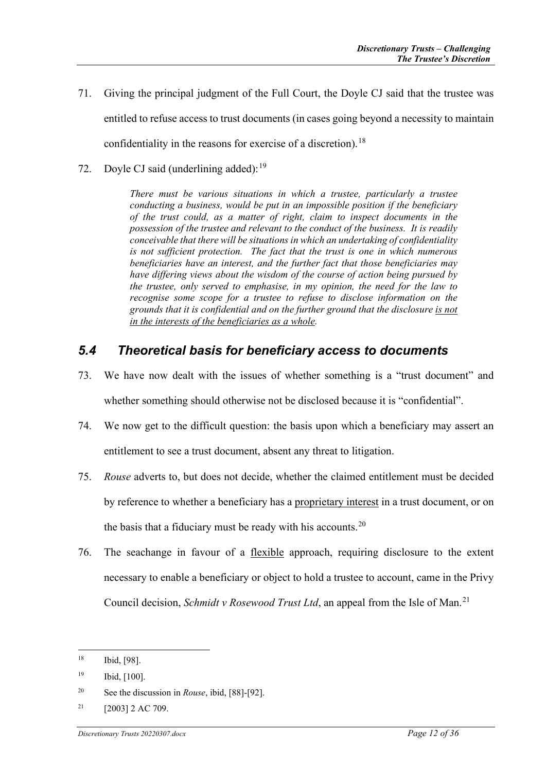- 71. Giving the principal judgment of the Full Court, the Doyle CJ said that the trustee was entitled to refuse access to trust documents (in cases going beyond a necessity to maintain confidentiality in the reasons for exercise of a discretion).<sup>[18](#page-11-1)</sup>
- 72. Doyle CJ said (underlining added):<sup>[19](#page-11-2)</sup>

*There must be various situations in which a trustee, particularly a trustee conducting a business, would be put in an impossible position if the beneficiary of the trust could, as a matter of right, claim to inspect documents in the possession of the trustee and relevant to the conduct of the business. It is readily conceivable that there will be situations in which an undertaking of confidentiality is not sufficient protection. The fact that the trust is one in which numerous beneficiaries have an interest, and the further fact that those beneficiaries may have differing views about the wisdom of the course of action being pursued by the trustee, only served to emphasise, in my opinion, the need for the law to recognise some scope for a trustee to refuse to disclose information on the grounds that it is confidential and on the further ground that the disclosure is not in the interests of the beneficiaries as a whole.*

### <span id="page-11-0"></span>*5.4 Theoretical basis for beneficiary access to documents*

- 73. We have now dealt with the issues of whether something is a "trust document" and whether something should otherwise not be disclosed because it is "confidential".
- 74. We now get to the difficult question: the basis upon which a beneficiary may assert an entitlement to see a trust document, absent any threat to litigation.
- 75. *Rouse* adverts to, but does not decide, whether the claimed entitlement must be decided by reference to whether a beneficiary has a proprietary interest in a trust document, or on the basis that a fiduciary must be ready with his accounts.<sup>[20](#page-11-3)</sup>
- 76. The seachange in favour of a flexible approach, requiring disclosure to the extent necessary to enable a beneficiary or object to hold a trustee to account, came in the Privy Council decision, *Schmidt v Rosewood Trust Ltd*, an appeal from the Isle of Man.<sup>[21](#page-11-4)</sup>

<span id="page-11-1"></span><sup>18</sup> Ibid, [98].

<span id="page-11-2"></span><sup>19</sup> Ibid, [100].

<span id="page-11-3"></span><sup>20</sup> See the discussion in *Rouse*, ibid, [88]-[92].

<span id="page-11-4"></span> $21$  [2003] 2 AC 709.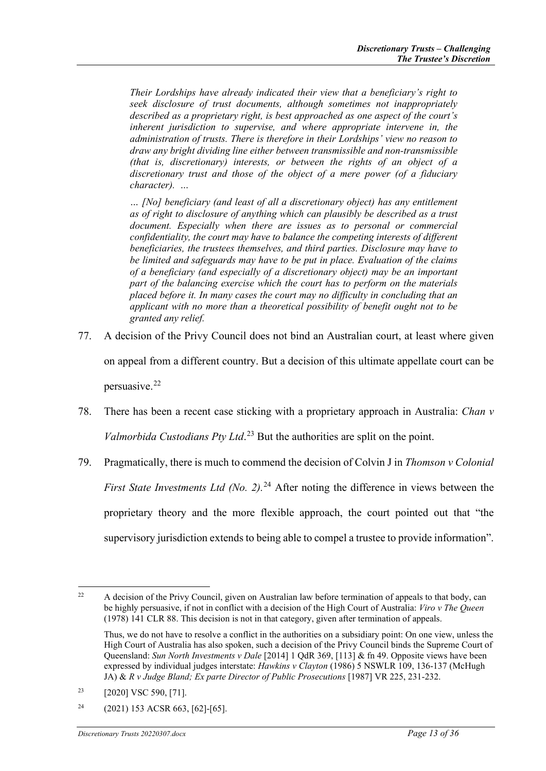*Their Lordships have already indicated their view that a beneficiary's right to seek disclosure of trust documents, although sometimes not inappropriately described as a proprietary right, is best approached as one aspect of the court's inherent jurisdiction to supervise, and where appropriate intervene in, the administration of trusts. There is therefore in their Lordships' view no reason to draw any bright dividing line either between transmissible and non-transmissible (that is, discretionary) interests, or between the rights of an object of a discretionary trust and those of the object of a mere power (of a fiduciary character). …*

*… [No] beneficiary (and least of all a discretionary object) has any entitlement as of right to disclosure of anything which can plausibly be described as a trust document. Especially when there are issues as to personal or commercial confidentiality, the court may have to balance the competing interests of different beneficiaries, the trustees themselves, and third parties. Disclosure may have to be limited and safeguards may have to be put in place. Evaluation of the claims of a beneficiary (and especially of a discretionary object) may be an important part of the balancing exercise which the court has to perform on the materials placed before it. In many cases the court may no difficulty in concluding that an applicant with no more than a theoretical possibility of benefit ought not to be granted any relief.*

- 77. A decision of the Privy Council does not bind an Australian court, at least where given on appeal from a different country. But a decision of this ultimate appellate court can be persuasive.[22](#page-12-0)
- 78. There has been a recent case sticking with a proprietary approach in Australia: *Chan v Valmorbida Custodians Pty Ltd*. [23](#page-12-1) But the authorities are split on the point.
- 79. Pragmatically, there is much to commend the decision of Colvin J in *Thomson v Colonial First State Investments Ltd (No. 2).* [24](#page-12-2) After noting the difference in views between the proprietary theory and the more flexible approach, the court pointed out that "the supervisory jurisdiction extends to being able to compel a trustee to provide information".

<span id="page-12-0"></span><sup>&</sup>lt;sup>22</sup> A decision of the Privy Council, given on Australian law before termination of appeals to that body, can be highly persuasive, if not in conflict with a decision of the High Court of Australia: *Viro v The Queen* (1978) 141 CLR 88. This decision is not in that category, given after termination of appeals.

Thus, we do not have to resolve a conflict in the authorities on a subsidiary point: On one view, unless the High Court of Australia has also spoken, such a decision of the Privy Council binds the Supreme Court of Queensland: *Sun North Investments v Dale* [2014] 1 QdR 369, [113] & fn 49. Opposite views have been expressed by individual judges interstate: *Hawkins v Clayton* (1986) 5 NSWLR 109, 136-137 (McHugh JA) & *R v Judge Bland; Ex parte Director of Public Prosecutions* [1987] VR 225, 231-232.

<span id="page-12-1"></span><sup>&</sup>lt;sup>23</sup> [2020] VSC 590, [71].

<span id="page-12-2"></span> $^{24}$  (2021) 153 ACSR 663, [62]-[65].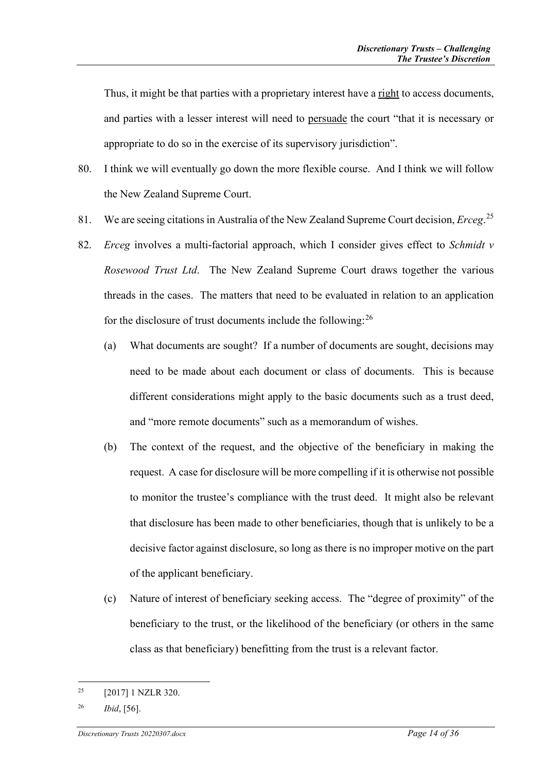Thus, it might be that parties with a proprietary interest have a right to access documents, and parties with a lesser interest will need to persuade the court "that it is necessary or appropriate to do so in the exercise of its supervisory jurisdiction".

- 80. I think we will eventually go down the more flexible course. And I think we will follow the New Zealand Supreme Court.
- 81. We are seeing citations in Australia of the New Zealand Supreme Court decision, *Erceg*. [25](#page-13-0)
- 82. *Erceg* involves a multi-factorial approach, which I consider gives effect to *Schmidt v Rosewood Trust Ltd*. The New Zealand Supreme Court draws together the various threads in the cases. The matters that need to be evaluated in relation to an application for the disclosure of trust documents include the following: $^{26}$  $^{26}$  $^{26}$ 
	- (a) What documents are sought? If a number of documents are sought, decisions may need to be made about each document or class of documents. This is because different considerations might apply to the basic documents such as a trust deed, and "more remote documents" such as a memorandum of wishes.
	- (b) The context of the request, and the objective of the beneficiary in making the request. A case for disclosure will be more compelling if it is otherwise not possible to monitor the trustee's compliance with the trust deed. It might also be relevant that disclosure has been made to other beneficiaries, though that is unlikely to be a decisive factor against disclosure, so long as there is no improper motive on the part of the applicant beneficiary.
	- (c) Nature of interest of beneficiary seeking access. The "degree of proximity" of the beneficiary to the trust, or the likelihood of the beneficiary (or others in the same class as that beneficiary) benefitting from the trust is a relevant factor.

<span id="page-13-0"></span><sup>25</sup> [2017] 1 NZLR 320.

<span id="page-13-1"></span><sup>26</sup> *Ibid*, [56].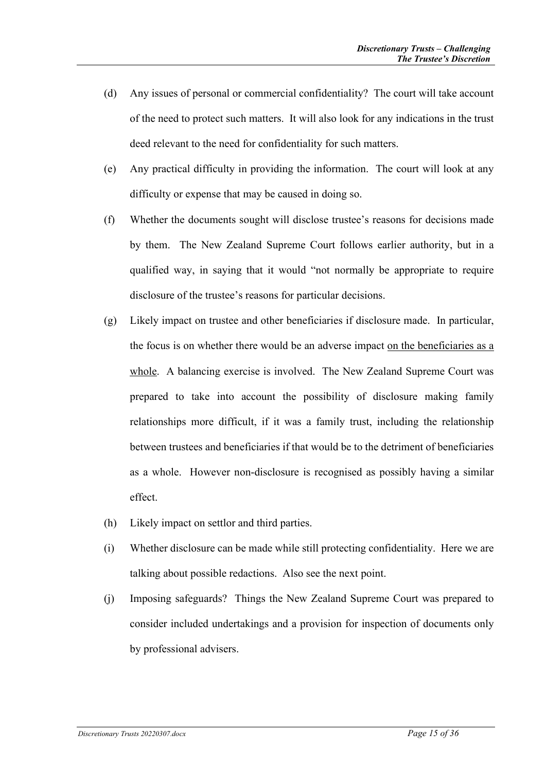- (d) Any issues of personal or commercial confidentiality? The court will take account of the need to protect such matters. It will also look for any indications in the trust deed relevant to the need for confidentiality for such matters.
- (e) Any practical difficulty in providing the information. The court will look at any difficulty or expense that may be caused in doing so.
- (f) Whether the documents sought will disclose trustee's reasons for decisions made by them. The New Zealand Supreme Court follows earlier authority, but in a qualified way, in saying that it would "not normally be appropriate to require disclosure of the trustee's reasons for particular decisions.
- (g) Likely impact on trustee and other beneficiaries if disclosure made. In particular, the focus is on whether there would be an adverse impact on the beneficiaries as a whole. A balancing exercise is involved. The New Zealand Supreme Court was prepared to take into account the possibility of disclosure making family relationships more difficult, if it was a family trust, including the relationship between trustees and beneficiaries if that would be to the detriment of beneficiaries as a whole. However non-disclosure is recognised as possibly having a similar effect.
- (h) Likely impact on settlor and third parties.
- (i) Whether disclosure can be made while still protecting confidentiality. Here we are talking about possible redactions. Also see the next point.
- (j) Imposing safeguards? Things the New Zealand Supreme Court was prepared to consider included undertakings and a provision for inspection of documents only by professional advisers.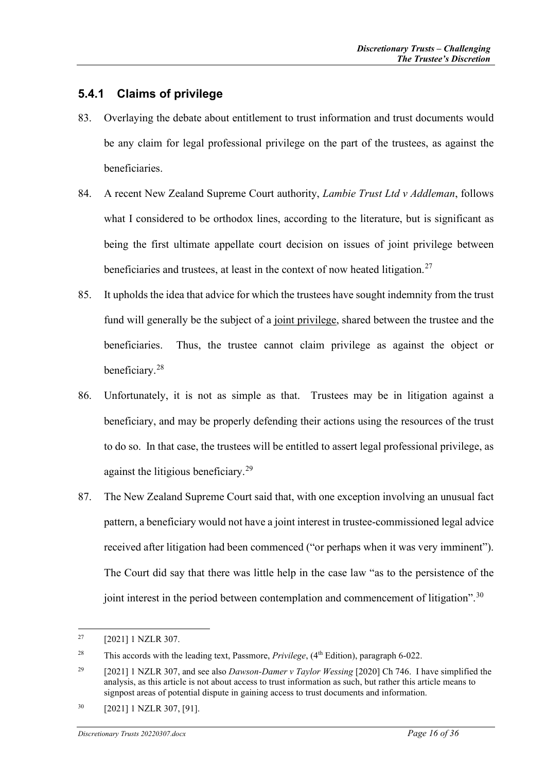#### <span id="page-15-0"></span>**5.4.1 Claims of privilege**

- 83. Overlaying the debate about entitlement to trust information and trust documents would be any claim for legal professional privilege on the part of the trustees, as against the beneficiaries.
- 84. A recent New Zealand Supreme Court authority, *Lambie Trust Ltd v Addleman*, follows what I considered to be orthodox lines, according to the literature, but is significant as being the first ultimate appellate court decision on issues of joint privilege between beneficiaries and trustees, at least in the context of now heated litigation.<sup>[27](#page-15-1)</sup>
- 85. It upholds the idea that advice for which the trustees have sought indemnity from the trust fund will generally be the subject of a joint privilege, shared between the trustee and the beneficiaries. Thus, the trustee cannot claim privilege as against the object or beneficiary.[28](#page-15-2)
- 86. Unfortunately, it is not as simple as that. Trustees may be in litigation against a beneficiary, and may be properly defending their actions using the resources of the trust to do so. In that case, the trustees will be entitled to assert legal professional privilege, as against the litigious beneficiary.<sup>[29](#page-15-3)</sup>
- 87. The New Zealand Supreme Court said that, with one exception involving an unusual fact pattern, a beneficiary would not have a joint interest in trustee-commissioned legal advice received after litigation had been commenced ("or perhaps when it was very imminent"). The Court did say that there was little help in the case law "as to the persistence of the joint interest in the period between contemplation and commencement of litigation".<sup>[30](#page-15-4)</sup>

<span id="page-15-1"></span><sup>27</sup> [2021] 1 NZLR 307.

<span id="page-15-2"></span><sup>&</sup>lt;sup>28</sup> This accords with the leading text, Passmore, *Privilege*, (4<sup>th</sup> Edition), paragraph 6-022.

<span id="page-15-3"></span><sup>29</sup> [2021] 1 NZLR 307, and see also *Dawson-Damer v Taylor Wessing* [2020] Ch 746. I have simplified the analysis, as this article is not about access to trust information as such, but rather this article means to signpost areas of potential dispute in gaining access to trust documents and information.

<span id="page-15-4"></span><sup>30</sup> [2021] 1 NZLR 307, [91].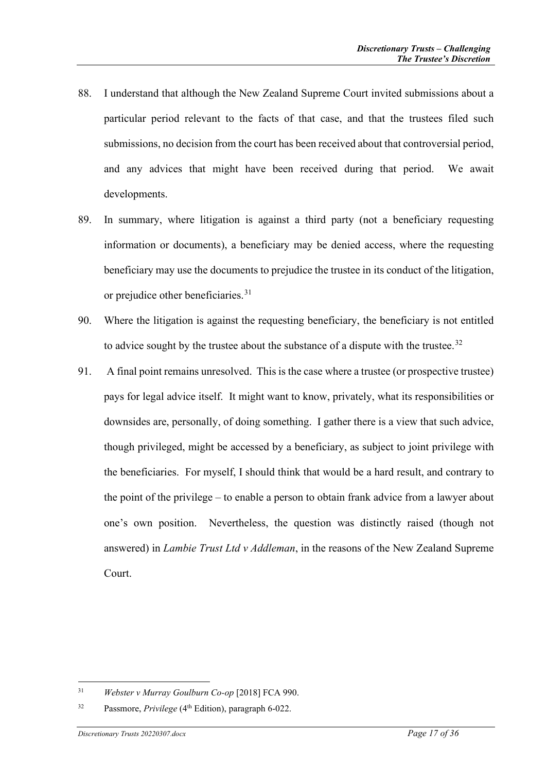- 88. I understand that although the New Zealand Supreme Court invited submissions about a particular period relevant to the facts of that case, and that the trustees filed such submissions, no decision from the court has been received about that controversial period, and any advices that might have been received during that period. We await developments.
- 89. In summary, where litigation is against a third party (not a beneficiary requesting information or documents), a beneficiary may be denied access, where the requesting beneficiary may use the documents to prejudice the trustee in its conduct of the litigation, or prejudice other beneficiaries.<sup>[31](#page-16-0)</sup>
- 90. Where the litigation is against the requesting beneficiary, the beneficiary is not entitled to advice sought by the trustee about the substance of a dispute with the trustee.<sup>[32](#page-16-1)</sup>
- 91. A final point remains unresolved. This is the case where a trustee (or prospective trustee) pays for legal advice itself. It might want to know, privately, what its responsibilities or downsides are, personally, of doing something. I gather there is a view that such advice, though privileged, might be accessed by a beneficiary, as subject to joint privilege with the beneficiaries. For myself, I should think that would be a hard result, and contrary to the point of the privilege – to enable a person to obtain frank advice from a lawyer about one's own position. Nevertheless, the question was distinctly raised (though not answered) in *Lambie Trust Ltd v Addleman*, in the reasons of the New Zealand Supreme Court.

<span id="page-16-0"></span><sup>31</sup> *Webster v Murray Goulburn Co-op* [2018] FCA 990.

<span id="page-16-1"></span><sup>32</sup> Passmore, *Privilege* (4th Edition), paragraph 6-022.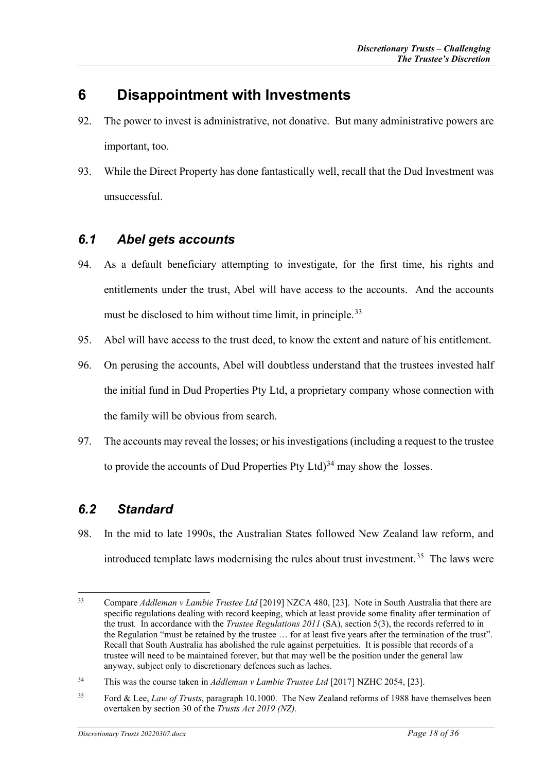# <span id="page-17-0"></span>**6 Disappointment with Investments**

- 92. The power to invest is administrative, not donative. But many administrative powers are important, too.
- 93. While the Direct Property has done fantastically well, recall that the Dud Investment was unsuccessful.

## <span id="page-17-1"></span>*6.1 Abel gets accounts*

- 94. As a default beneficiary attempting to investigate, for the first time, his rights and entitlements under the trust, Abel will have access to the accounts. And the accounts must be disclosed to him without time limit, in principle.<sup>[33](#page-17-3)</sup>
- 95. Abel will have access to the trust deed, to know the extent and nature of his entitlement.
- 96. On perusing the accounts, Abel will doubtless understand that the trustees invested half the initial fund in Dud Properties Pty Ltd, a proprietary company whose connection with the family will be obvious from search.
- 97. The accounts may reveal the losses; or his investigations (including a request to the trustee to provide the accounts of Dud Properties Pty Ltd) $34$  may show the losses.

## <span id="page-17-2"></span>*6.2 Standard*

98. In the mid to late 1990s, the Australian States followed New Zealand law reform, and introduced template laws modernising the rules about trust investment.<sup>35</sup> The laws were

<span id="page-17-3"></span><sup>33</sup> Compare *Addleman v Lambie Trustee Ltd* [2019] NZCA 480, [23]. Note in South Australia that there are specific regulations dealing with record keeping, which at least provide some finality after termination of the trust. In accordance with the *Trustee Regulations 2011* (SA), section 5(3), the records referred to in the Regulation "must be retained by the trustee ... for at least five years after the termination of the trust". Recall that South Australia has abolished the rule against perpetuities. It is possible that records of a trustee will need to be maintained forever, but that may well be the position under the general law anyway, subject only to discretionary defences such as laches.

<span id="page-17-4"></span><sup>34</sup> This was the course taken in *Addleman v Lambie Trustee Ltd* [2017] NZHC 2054, [23].

<span id="page-17-5"></span><sup>35</sup> Ford & Lee, *Law of Trusts*, paragraph 10.1000. The New Zealand reforms of 1988 have themselves been overtaken by section 30 of the *Trusts Act 2019 (NZ).*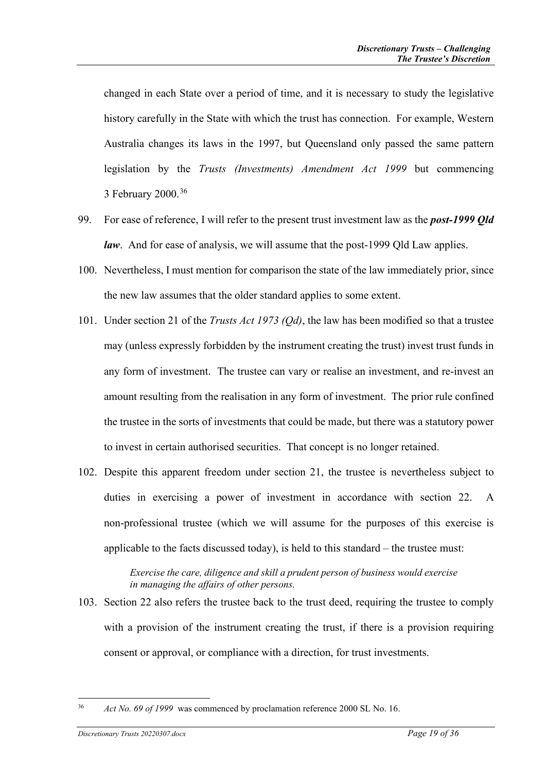changed in each State over a period of time, and it is necessary to study the legislative history carefully in the State with which the trust has connection. For example, Western Australia changes its laws in the 1997, but Queensland only passed the same pattern legislation by the *Trusts (Investments) Amendment Act 1999* but commencing 3 February 2000.[36](#page-18-0)

- 99. For ease of reference, I will refer to the present trust investment law as the *post-1999 Qld law*. And for ease of analysis, we will assume that the post-1999 Qld Law applies.
- 100. Nevertheless, I must mention for comparison the state of the law immediately prior, since the new law assumes that the older standard applies to some extent.
- 101. Under section 21 of the *Trusts Act 1973 (Qd)*, the law has been modified so that a trustee may (unless expressly forbidden by the instrument creating the trust) invest trust funds in any form of investment. The trustee can vary or realise an investment, and re-invest an amount resulting from the realisation in any form of investment. The prior rule confined the trustee in the sorts of investments that could be made, but there was a statutory power to invest in certain authorised securities. That concept is no longer retained.
- 102. Despite this apparent freedom under section 21, the trustee is nevertheless subject to duties in exercising a power of investment in accordance with section 22. A non-professional trustee (which we will assume for the purposes of this exercise is applicable to the facts discussed today), is held to this standard – the trustee must:

*Exercise the care, diligence and skill a prudent person of business would exercise in managing the affairs of other persons.* 

103. Section 22 also refers the trustee back to the trust deed, requiring the trustee to comply with a provision of the instrument creating the trust, if there is a provision requiring consent or approval, or compliance with a direction, for trust investments.

<span id="page-18-0"></span><sup>36</sup> *Act No. 69 of 1999* was commenced by proclamation reference 2000 SL No. 16.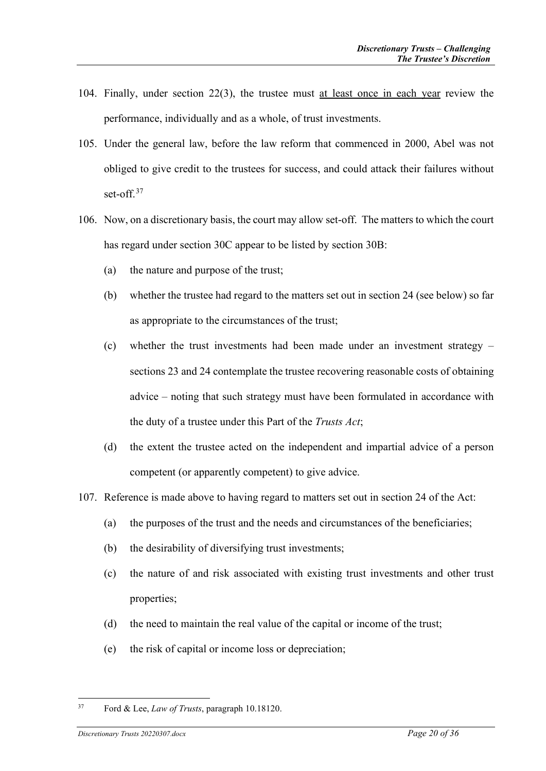- 104. Finally, under section 22(3), the trustee must at least once in each year review the performance, individually and as a whole, of trust investments.
- 105. Under the general law, before the law reform that commenced in 2000, Abel was not obliged to give credit to the trustees for success, and could attack their failures without set-off.<sup>[37](#page-19-0)</sup>
- 106. Now, on a discretionary basis, the court may allow set-off. The matters to which the court has regard under section 30C appear to be listed by section 30B:
	- (a) the nature and purpose of the trust;
	- (b) whether the trustee had regard to the matters set out in section 24 (see below) so far as appropriate to the circumstances of the trust;
	- (c) whether the trust investments had been made under an investment strategy sections 23 and 24 contemplate the trustee recovering reasonable costs of obtaining advice – noting that such strategy must have been formulated in accordance with the duty of a trustee under this Part of the *Trusts Act*;
	- (d) the extent the trustee acted on the independent and impartial advice of a person competent (or apparently competent) to give advice.
- 107. Reference is made above to having regard to matters set out in section 24 of the Act:
	- (a) the purposes of the trust and the needs and circumstances of the beneficiaries;
	- (b) the desirability of diversifying trust investments;
	- (c) the nature of and risk associated with existing trust investments and other trust properties;
	- (d) the need to maintain the real value of the capital or income of the trust;
	- (e) the risk of capital or income loss or depreciation;

<span id="page-19-0"></span><sup>37</sup> Ford & Lee, *Law of Trusts*, paragraph 10.18120.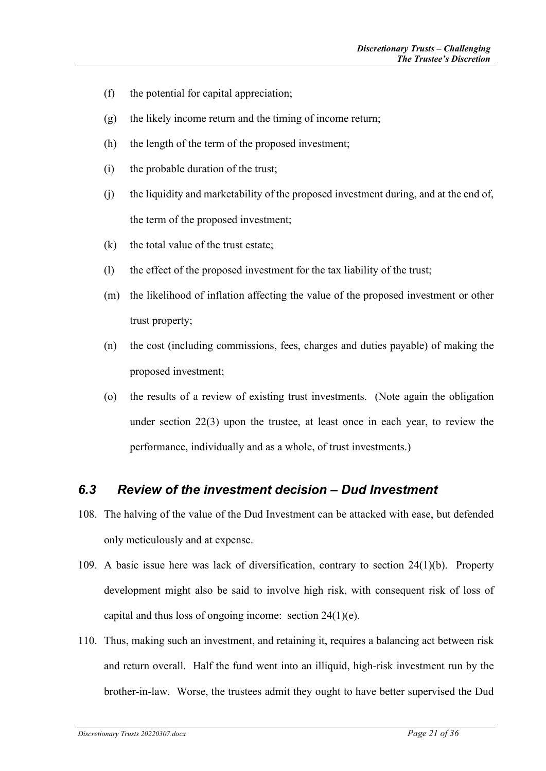- (f) the potential for capital appreciation;
- (g) the likely income return and the timing of income return;
- (h) the length of the term of the proposed investment;
- (i) the probable duration of the trust;
- (j) the liquidity and marketability of the proposed investment during, and at the end of, the term of the proposed investment;
- $(k)$  the total value of the trust estate;
- (l) the effect of the proposed investment for the tax liability of the trust;
- (m) the likelihood of inflation affecting the value of the proposed investment or other trust property;
- (n) the cost (including commissions, fees, charges and duties payable) of making the proposed investment;
- (o) the results of a review of existing trust investments. (Note again the obligation under section 22(3) upon the trustee, at least once in each year, to review the performance, individually and as a whole, of trust investments.)

### <span id="page-20-0"></span>*6.3 Review of the investment decision – Dud Investment*

- 108. The halving of the value of the Dud Investment can be attacked with ease, but defended only meticulously and at expense.
- 109. A basic issue here was lack of diversification, contrary to section 24(1)(b). Property development might also be said to involve high risk, with consequent risk of loss of capital and thus loss of ongoing income: section 24(1)(e).
- 110. Thus, making such an investment, and retaining it, requires a balancing act between risk and return overall. Half the fund went into an illiquid, high-risk investment run by the brother-in-law. Worse, the trustees admit they ought to have better supervised the Dud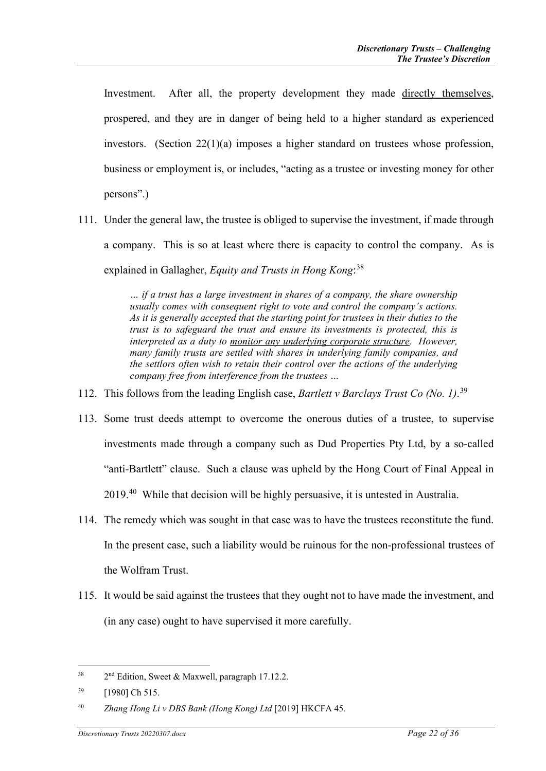Investment. After all, the property development they made directly themselves, prospered, and they are in danger of being held to a higher standard as experienced investors. (Section 22(1)(a) imposes a higher standard on trustees whose profession, business or employment is, or includes, "acting as a trustee or investing money for other persons".)

111. Under the general law, the trustee is obliged to supervise the investment, if made through a company. This is so at least where there is capacity to control the company. As is explained in Gallagher, *Equity and Trusts in Hong Kong*: [38](#page-21-0)

> *… if a trust has a large investment in shares of a company, the share ownership usually comes with consequent right to vote and control the company's actions. As it is generally accepted that the starting point for trustees in their duties to the trust is to safeguard the trust and ensure its investments is protected, this is interpreted as a duty to monitor any underlying corporate structure. However, many family trusts are settled with shares in underlying family companies, and the settlors often wish to retain their control over the actions of the underlying company free from interference from the trustees …*

- 112. This follows from the leading English case, *Bartlett v Barclays Trust Co (No. 1)*. [39](#page-21-1)
- 113. Some trust deeds attempt to overcome the onerous duties of a trustee, to supervise investments made through a company such as Dud Properties Pty Ltd, by a so-called "anti-Bartlett" clause. Such a clause was upheld by the Hong Court of Final Appeal in 2019.[40](#page-21-2) While that decision will be highly persuasive, it is untested in Australia.
- 114. The remedy which was sought in that case was to have the trustees reconstitute the fund. In the present case, such a liability would be ruinous for the non-professional trustees of the Wolfram Trust.
- 115. It would be said against the trustees that they ought not to have made the investment, and (in any case) ought to have supervised it more carefully.

<span id="page-21-0"></span> $38$  2<sup>nd</sup> Edition, Sweet & Maxwell, paragraph 17.12.2.

<span id="page-21-1"></span><sup>&</sup>lt;sup>39</sup> [1980] Ch 515.

<span id="page-21-2"></span><sup>40</sup> *Zhang Hong Li v DBS Bank (Hong Kong) Ltd* [2019] HKCFA 45.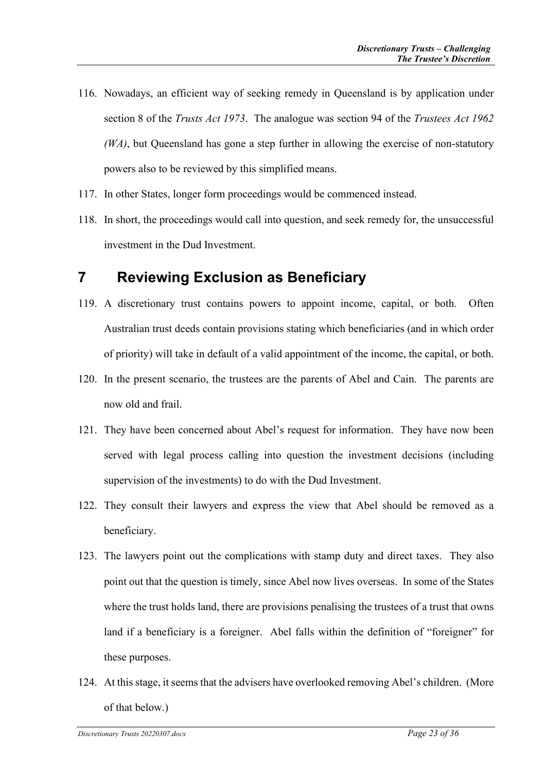- 116. Nowadays, an efficient way of seeking remedy in Queensland is by application under section 8 of the *Trusts Act 1973*. The analogue was section 94 of the *Trustees Act 1962 (WA)*, but Queensland has gone a step further in allowing the exercise of non-statutory powers also to be reviewed by this simplified means.
- 117. In other States, longer form proceedings would be commenced instead.
- 118. In short, the proceedings would call into question, and seek remedy for, the unsuccessful investment in the Dud Investment.

## <span id="page-22-0"></span>**7 Reviewing Exclusion as Beneficiary**

- 119. A discretionary trust contains powers to appoint income, capital, or both. Often Australian trust deeds contain provisions stating which beneficiaries (and in which order of priority) will take in default of a valid appointment of the income, the capital, or both.
- 120. In the present scenario, the trustees are the parents of Abel and Cain. The parents are now old and frail.
- 121. They have been concerned about Abel's request for information. They have now been served with legal process calling into question the investment decisions (including supervision of the investments) to do with the Dud Investment.
- 122. They consult their lawyers and express the view that Abel should be removed as a beneficiary.
- 123. The lawyers point out the complications with stamp duty and direct taxes. They also point out that the question is timely, since Abel now lives overseas. In some of the States where the trust holds land, there are provisions penalising the trustees of a trust that owns land if a beneficiary is a foreigner. Abel falls within the definition of "foreigner" for these purposes.
- 124. At this stage, it seems that the advisers have overlooked removing Abel's children. (More of that below.)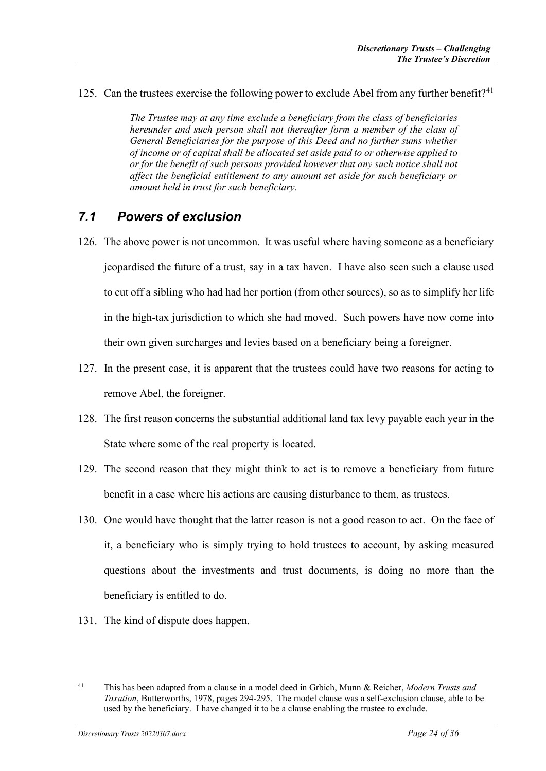125. Can the trustees exercise the following power to exclude Abel from any further benefit?<sup>[41](#page-23-1)</sup>

*The Trustee may at any time exclude a beneficiary from the class of beneficiaries hereunder and such person shall not thereafter form a member of the class of General Beneficiaries for the purpose of this Deed and no further sums whether of income or of capital shall be allocated set aside paid to or otherwise applied to or for the benefit of such persons provided however that any such notice shall not affect the beneficial entitlement to any amount set aside for such beneficiary or amount held in trust for such beneficiary.*

### <span id="page-23-0"></span>*7.1 Powers of exclusion*

- 126. The above power is not uncommon. It was useful where having someone as a beneficiary jeopardised the future of a trust, say in a tax haven. I have also seen such a clause used to cut off a sibling who had had her portion (from other sources), so as to simplify her life in the high-tax jurisdiction to which she had moved. Such powers have now come into their own given surcharges and levies based on a beneficiary being a foreigner.
- 127. In the present case, it is apparent that the trustees could have two reasons for acting to remove Abel, the foreigner.
- 128. The first reason concerns the substantial additional land tax levy payable each year in the State where some of the real property is located.
- 129. The second reason that they might think to act is to remove a beneficiary from future benefit in a case where his actions are causing disturbance to them, as trustees.
- 130. One would have thought that the latter reason is not a good reason to act. On the face of it, a beneficiary who is simply trying to hold trustees to account, by asking measured questions about the investments and trust documents, is doing no more than the beneficiary is entitled to do.
- 131. The kind of dispute does happen.

<span id="page-23-1"></span><sup>41</sup> This has been adapted from a clause in a model deed in Grbich, Munn & Reicher, *Modern Trusts and Taxation*, Butterworths, 1978, pages 294-295. The model clause was a self-exclusion clause, able to be used by the beneficiary. I have changed it to be a clause enabling the trustee to exclude.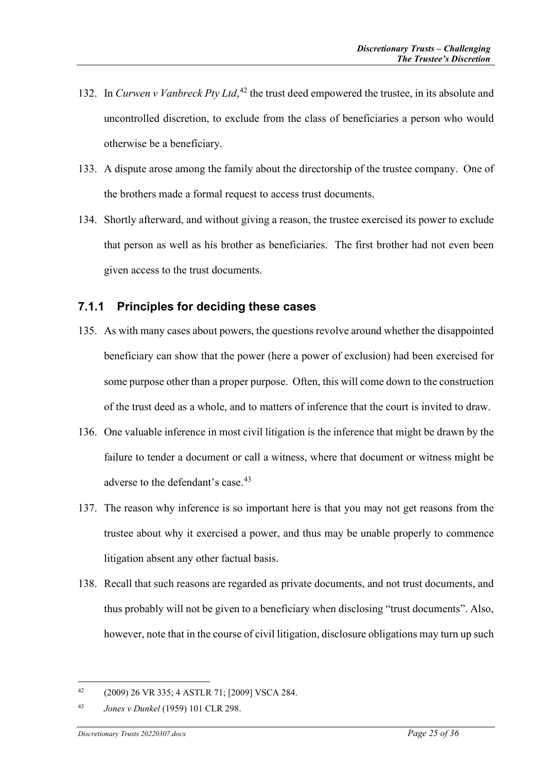- 132. In *Curwen v Vanbreck Pty Ltd*,<sup>[42](#page-24-1)</sup> the trust deed empowered the trustee, in its absolute and uncontrolled discretion, to exclude from the class of beneficiaries a person who would otherwise be a beneficiary.
- 133. A dispute arose among the family about the directorship of the trustee company. One of the brothers made a formal request to access trust documents.
- 134. Shortly afterward, and without giving a reason, the trustee exercised its power to exclude that person as well as his brother as beneficiaries. The first brother had not even been given access to the trust documents.

#### <span id="page-24-0"></span>**7.1.1 Principles for deciding these cases**

- 135. As with many cases about powers, the questions revolve around whether the disappointed beneficiary can show that the power (here a power of exclusion) had been exercised for some purpose other than a proper purpose. Often, this will come down to the construction of the trust deed as a whole, and to matters of inference that the court is invited to draw.
- 136. One valuable inference in most civil litigation is the inference that might be drawn by the failure to tender a document or call a witness, where that document or witness might be adverse to the defendant's case.<sup>[43](#page-24-2)</sup>
- 137. The reason why inference is so important here is that you may not get reasons from the trustee about why it exercised a power, and thus may be unable properly to commence litigation absent any other factual basis.
- 138. Recall that such reasons are regarded as private documents, and not trust documents, and thus probably will not be given to a beneficiary when disclosing "trust documents". Also, however, note that in the course of civil litigation, disclosure obligations may turn up such

<span id="page-24-1"></span><sup>42</sup> (2009) 26 VR 335; 4 ASTLR 71; [2009] VSCA 284.

<span id="page-24-2"></span><sup>43</sup> *Jones v Dunkel* (1959) 101 CLR 298.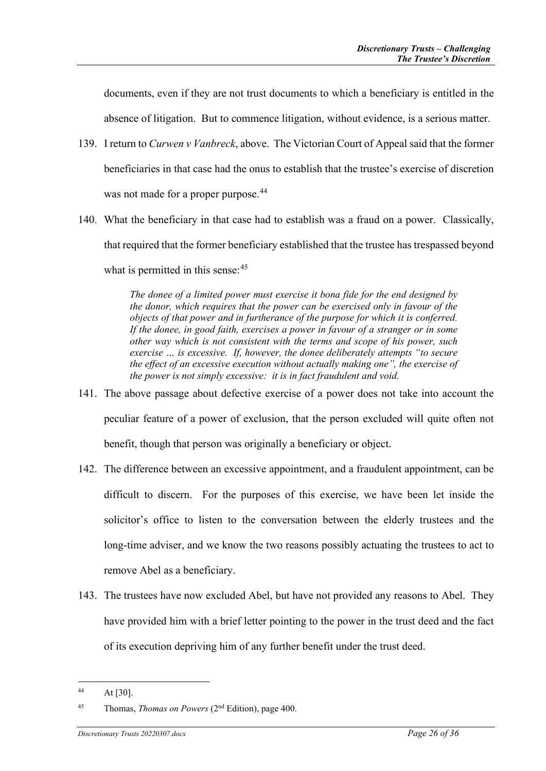documents, even if they are not trust documents to which a beneficiary is entitled in the absence of litigation. But to commence litigation, without evidence, is a serious matter.

- 139. I return to *Curwen v Vanbreck*, above. The Victorian Court of Appeal said that the former beneficiaries in that case had the onus to establish that the trustee's exercise of discretion was not made for a proper purpose.<sup>[44](#page-25-0)</sup>
- 140. What the beneficiary in that case had to establish was a fraud on a power. Classically, that required that the former beneficiary established that the trustee has trespassed beyond what is permitted in this sense:  $45$

*The donee of a limited power must exercise it bona fide for the end designed by the donor, which requires that the power can be exercised only in favour of the objects of that power and in furtherance of the purpose for which it is conferred. If the donee, in good faith, exercises a power in favour of a stranger or in some other way which is not consistent with the terms and scope of his power, such exercise … is excessive. If, however, the donee deliberately attempts "to secure the effect of an excessive execution without actually making one", the exercise of the power is not simply excessive: it is in fact fraudulent and void.*

- 141. The above passage about defective exercise of a power does not take into account the peculiar feature of a power of exclusion, that the person excluded will quite often not benefit, though that person was originally a beneficiary or object.
- 142. The difference between an excessive appointment, and a fraudulent appointment, can be difficult to discern. For the purposes of this exercise, we have been let inside the solicitor's office to listen to the conversation between the elderly trustees and the long-time adviser, and we know the two reasons possibly actuating the trustees to act to remove Abel as a beneficiary.
- 143. The trustees have now excluded Abel, but have not provided any reasons to Abel. They have provided him with a brief letter pointing to the power in the trust deed and the fact of its execution depriving him of any further benefit under the trust deed.

<span id="page-25-0"></span><sup>44</sup> At [30].

<span id="page-25-1"></span><sup>45</sup> Thomas, *Thomas on Powers* (2nd Edition), page 400.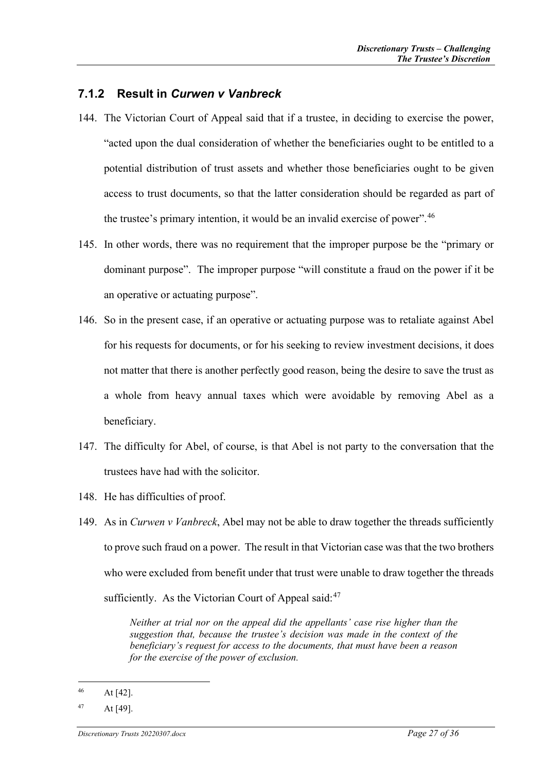#### <span id="page-26-0"></span>**7.1.2 Result in** *Curwen v Vanbreck*

- 144. The Victorian Court of Appeal said that if a trustee, in deciding to exercise the power, "acted upon the dual consideration of whether the beneficiaries ought to be entitled to a potential distribution of trust assets and whether those beneficiaries ought to be given access to trust documents, so that the latter consideration should be regarded as part of the trustee's primary intention, it would be an invalid exercise of power".[46](#page-26-1)
- 145. In other words, there was no requirement that the improper purpose be the "primary or dominant purpose". The improper purpose "will constitute a fraud on the power if it be an operative or actuating purpose".
- 146. So in the present case, if an operative or actuating purpose was to retaliate against Abel for his requests for documents, or for his seeking to review investment decisions, it does not matter that there is another perfectly good reason, being the desire to save the trust as a whole from heavy annual taxes which were avoidable by removing Abel as a beneficiary.
- 147. The difficulty for Abel, of course, is that Abel is not party to the conversation that the trustees have had with the solicitor.
- 148. He has difficulties of proof.
- 149. As in *Curwen v Vanbreck*, Abel may not be able to draw together the threads sufficiently to prove such fraud on a power. The result in that Victorian case was that the two brothers who were excluded from benefit under that trust were unable to draw together the threads sufficiently. As the Victorian Court of Appeal said: $47$

*Neither at trial nor on the appeal did the appellants' case rise higher than the suggestion that, because the trustee's decision was made in the context of the beneficiary's request for access to the documents, that must have been a reason for the exercise of the power of exclusion.*

<span id="page-26-1"></span> $46$  At [42].

<span id="page-26-2"></span> $47$  At [49].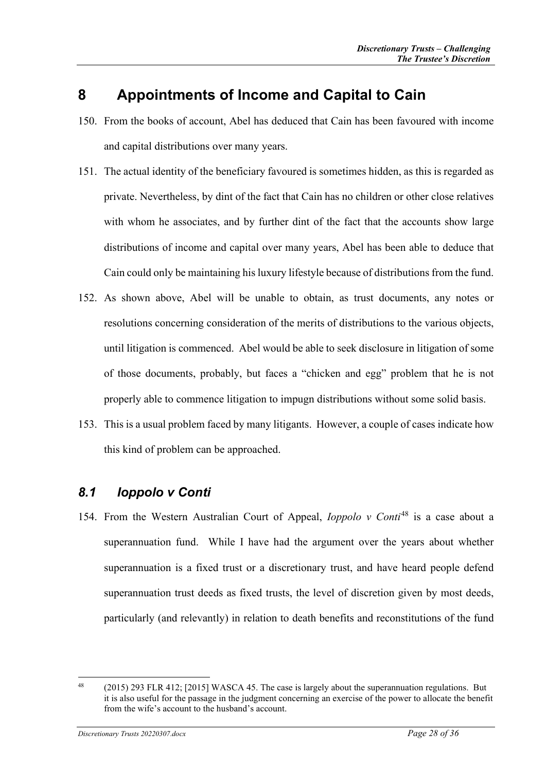# <span id="page-27-0"></span>**8 Appointments of Income and Capital to Cain**

- 150. From the books of account, Abel has deduced that Cain has been favoured with income and capital distributions over many years.
- 151. The actual identity of the beneficiary favoured is sometimes hidden, as this is regarded as private. Nevertheless, by dint of the fact that Cain has no children or other close relatives with whom he associates, and by further dint of the fact that the accounts show large distributions of income and capital over many years, Abel has been able to deduce that Cain could only be maintaining his luxury lifestyle because of distributions from the fund.
- 152. As shown above, Abel will be unable to obtain, as trust documents, any notes or resolutions concerning consideration of the merits of distributions to the various objects, until litigation is commenced. Abel would be able to seek disclosure in litigation of some of those documents, probably, but faces a "chicken and egg" problem that he is not properly able to commence litigation to impugn distributions without some solid basis.
- 153. This is a usual problem faced by many litigants. However, a couple of cases indicate how this kind of problem can be approached.

## <span id="page-27-1"></span>*8.1 Ioppolo v Conti*

154. From the Western Australian Court of Appeal, *Ioppolo v Conti*[48](#page-27-2) is a case about a superannuation fund. While I have had the argument over the years about whether superannuation is a fixed trust or a discretionary trust, and have heard people defend superannuation trust deeds as fixed trusts, the level of discretion given by most deeds, particularly (and relevantly) in relation to death benefits and reconstitutions of the fund

<span id="page-27-2"></span><sup>&</sup>lt;sup>48</sup> (2015) 293 FLR 412; [2015] WASCA 45. The case is largely about the superannuation regulations. But it is also useful for the passage in the judgment concerning an exercise of the power to allocate the benefit from the wife's account to the husband's account.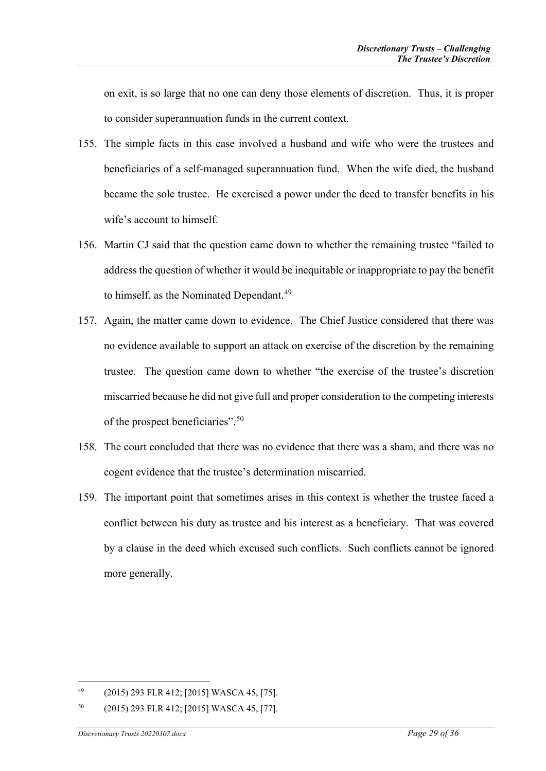on exit, is so large that no one can deny those elements of discretion. Thus, it is proper to consider superannuation funds in the current context.

- 155. The simple facts in this case involved a husband and wife who were the trustees and beneficiaries of a self-managed superannuation fund. When the wife died, the husband became the sole trustee. He exercised a power under the deed to transfer benefits in his wife's account to himself.
- 156. Martin CJ said that the question came down to whether the remaining trustee "failed to address the question of whether it would be inequitable or inappropriate to pay the benefit to himself, as the Nominated Dependant.<sup>[49](#page-28-0)</sup>
- 157. Again, the matter came down to evidence. The Chief Justice considered that there was no evidence available to support an attack on exercise of the discretion by the remaining trustee. The question came down to whether "the exercise of the trustee's discretion miscarried because he did not give full and proper consideration to the competing interests of the prospect beneficiaries".[50](#page-28-1)
- 158. The court concluded that there was no evidence that there was a sham, and there was no cogent evidence that the trustee's determination miscarried.
- 159. The important point that sometimes arises in this context is whether the trustee faced a conflict between his duty as trustee and his interest as a beneficiary. That was covered by a clause in the deed which excused such conflicts. Such conflicts cannot be ignored more generally.

<span id="page-28-0"></span><sup>49</sup> (2015) 293 FLR 412; [2015] WASCA 45, [75].

<span id="page-28-1"></span><sup>50</sup> (2015) 293 FLR 412; [2015] WASCA 45, [77].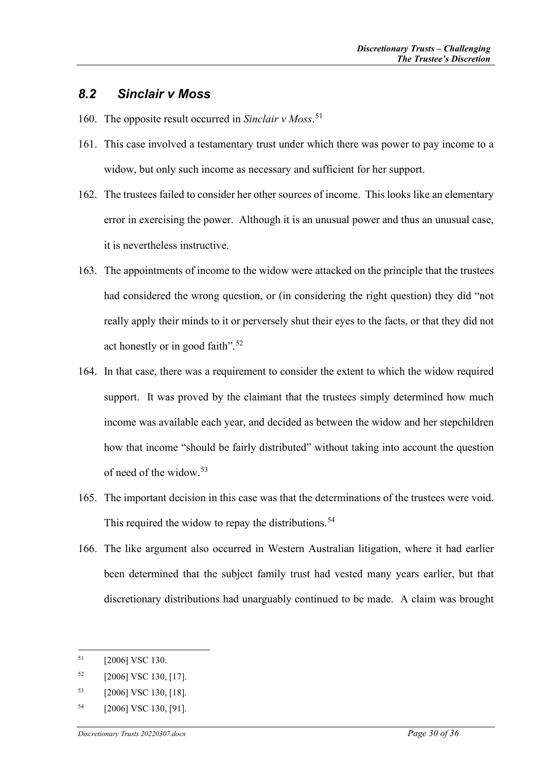### <span id="page-29-0"></span>*8.2 Sinclair v Moss*

- 160. The opposite result occurred in *Sinclair v Moss*. [51](#page-29-1)
- 161. This case involved a testamentary trust under which there was power to pay income to a widow, but only such income as necessary and sufficient for her support.
- 162. The trustees failed to consider her other sources of income. This looks like an elementary error in exercising the power. Although it is an unusual power and thus an unusual case, it is nevertheless instructive.
- 163. The appointments of income to the widow were attacked on the principle that the trustees had considered the wrong question, or (in considering the right question) they did "not really apply their minds to it or perversely shut their eyes to the facts, or that they did not act honestly or in good faith".[52](#page-29-2)
- 164. In that case, there was a requirement to consider the extent to which the widow required support. It was proved by the claimant that the trustees simply determined how much income was available each year, and decided as between the widow and her stepchildren how that income "should be fairly distributed" without taking into account the question of need of the widow.[53](#page-29-3)
- 165. The important decision in this case was that the determinations of the trustees were void. This required the widow to repay the distributions.<sup>[54](#page-29-4)</sup>
- 166. The like argument also occurred in Western Australian litigation, where it had earlier been determined that the subject family trust had vested many years earlier, but that discretionary distributions had unarguably continued to be made. A claim was brought

<span id="page-29-1"></span> $51$  [2006] VSC 130.

<span id="page-29-2"></span> $52$  [2006] VSC 130, [17].

<span id="page-29-3"></span><sup>53</sup> [2006] VSC 130, [18].

<span id="page-29-4"></span><sup>54</sup> [2006] VSC 130, [91].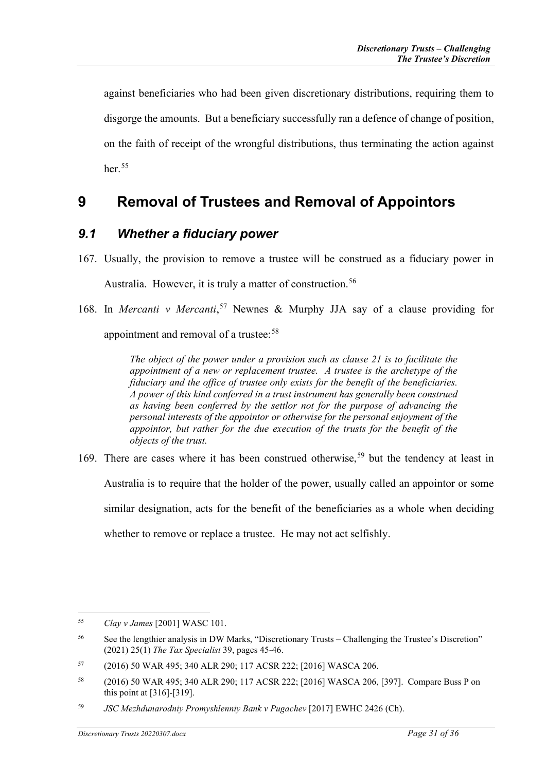against beneficiaries who had been given discretionary distributions, requiring them to disgorge the amounts. But a beneficiary successfully ran a defence of change of position, on the faith of receipt of the wrongful distributions, thus terminating the action against her $55$ 

# <span id="page-30-0"></span>**9 Removal of Trustees and Removal of Appointors**

### <span id="page-30-1"></span>*9.1 Whether a fiduciary power*

- 167. Usually, the provision to remove a trustee will be construed as a fiduciary power in Australia. However, it is truly a matter of construction.<sup>[56](#page-30-3)</sup>
- 168. In *Mercanti v Mercanti*, [57](#page-30-4) Newnes & Murphy JJA say of a clause providing for

appointment and removal of a trustee:<sup>[58](#page-30-5)</sup>

*The object of the power under a provision such as clause 21 is to facilitate the appointment of a new or replacement trustee. A trustee is the archetype of the fiduciary and the office of trustee only exists for the benefit of the beneficiaries. A power of this kind conferred in a trust instrument has generally been construed as having been conferred by the settlor not for the purpose of advancing the personal interests of the appointor or otherwise for the personal enjoyment of the appointor, but rather for the due execution of the trusts for the benefit of the objects of the trust.*

169. There are cases where it has been construed otherwise,<sup>[59](#page-30-6)</sup> but the tendency at least in Australia is to require that the holder of the power, usually called an appointor or some similar designation, acts for the benefit of the beneficiaries as a whole when deciding whether to remove or replace a trustee. He may not act selfishly.

<span id="page-30-2"></span><sup>55</sup> *Clay v James* [2001] WASC 101.

<span id="page-30-3"></span><sup>56</sup> See the lengthier analysis in DW Marks, "Discretionary Trusts – Challenging the Trustee's Discretion" (2021) 25(1) *The Tax Specialist* 39, pages 45-46.

<span id="page-30-4"></span><sup>57</sup> (2016) 50 WAR 495; 340 ALR 290; 117 ACSR 222; [2016] WASCA 206.

<span id="page-30-5"></span><sup>58</sup> (2016) 50 WAR 495; 340 ALR 290; 117 ACSR 222; [2016] WASCA 206, [397]. Compare Buss P on this point at [316]-[319].

<span id="page-30-6"></span><sup>59</sup> *JSC Mezhdunarodniy Promyshlenniy Bank v Pugachev* [2017] EWHC 2426 (Ch).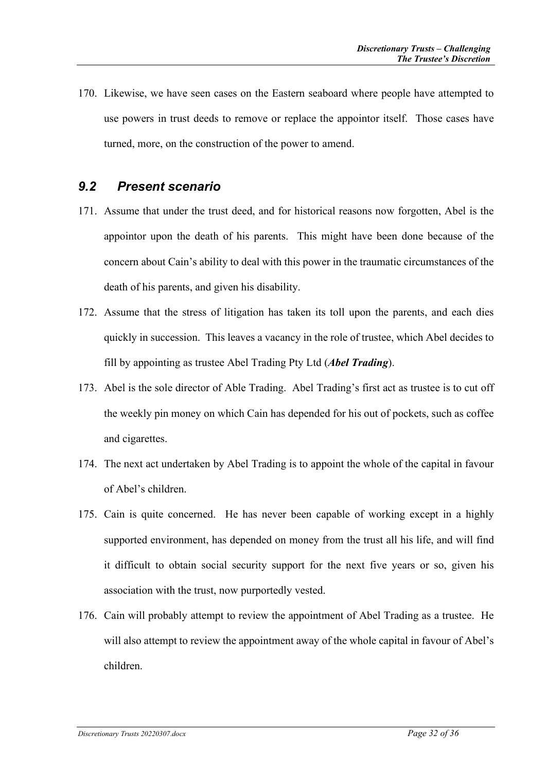170. Likewise, we have seen cases on the Eastern seaboard where people have attempted to use powers in trust deeds to remove or replace the appointor itself. Those cases have turned, more, on the construction of the power to amend.

### <span id="page-31-0"></span>*9.2 Present scenario*

- 171. Assume that under the trust deed, and for historical reasons now forgotten, Abel is the appointor upon the death of his parents. This might have been done because of the concern about Cain's ability to deal with this power in the traumatic circumstances of the death of his parents, and given his disability.
- 172. Assume that the stress of litigation has taken its toll upon the parents, and each dies quickly in succession. This leaves a vacancy in the role of trustee, which Abel decides to fill by appointing as trustee Abel Trading Pty Ltd (*Abel Trading*).
- 173. Abel is the sole director of Able Trading. Abel Trading's first act as trustee is to cut off the weekly pin money on which Cain has depended for his out of pockets, such as coffee and cigarettes.
- 174. The next act undertaken by Abel Trading is to appoint the whole of the capital in favour of Abel's children.
- 175. Cain is quite concerned. He has never been capable of working except in a highly supported environment, has depended on money from the trust all his life, and will find it difficult to obtain social security support for the next five years or so, given his association with the trust, now purportedly vested.
- 176. Cain will probably attempt to review the appointment of Abel Trading as a trustee. He will also attempt to review the appointment away of the whole capital in favour of Abel's children.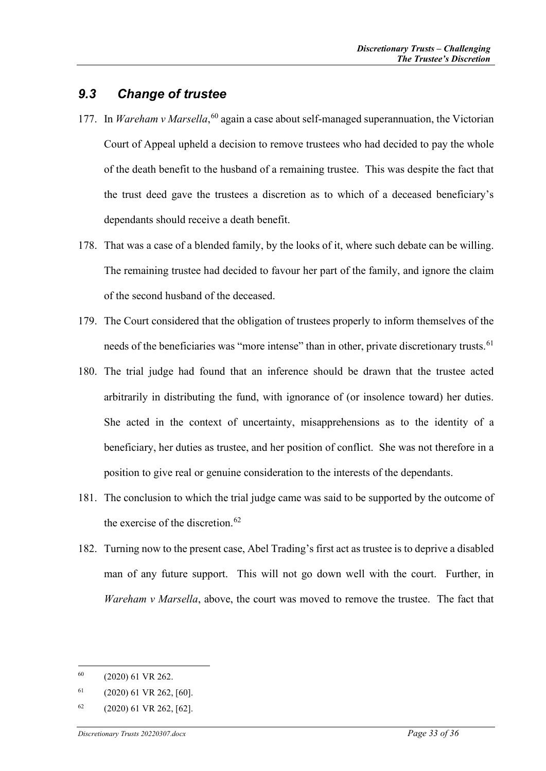### <span id="page-32-0"></span>*9.3 Change of trustee*

- 177. In *Wareham v Marsella*,<sup>[60](#page-32-1)</sup> again a case about self-managed superannuation, the Victorian Court of Appeal upheld a decision to remove trustees who had decided to pay the whole of the death benefit to the husband of a remaining trustee. This was despite the fact that the trust deed gave the trustees a discretion as to which of a deceased beneficiary's dependants should receive a death benefit.
- 178. That was a case of a blended family, by the looks of it, where such debate can be willing. The remaining trustee had decided to favour her part of the family, and ignore the claim of the second husband of the deceased.
- 179. The Court considered that the obligation of trustees properly to inform themselves of the needs of the beneficiaries was "more intense" than in other, private discretionary trusts.<sup>[61](#page-32-2)</sup>
- 180. The trial judge had found that an inference should be drawn that the trustee acted arbitrarily in distributing the fund, with ignorance of (or insolence toward) her duties. She acted in the context of uncertainty, misapprehensions as to the identity of a beneficiary, her duties as trustee, and her position of conflict. She was not therefore in a position to give real or genuine consideration to the interests of the dependants.
- 181. The conclusion to which the trial judge came was said to be supported by the outcome of the exercise of the discretion. $62$
- 182. Turning now to the present case, Abel Trading's first act as trustee is to deprive a disabled man of any future support. This will not go down well with the court. Further, in *Wareham v Marsella*, above, the court was moved to remove the trustee. The fact that

<span id="page-32-1"></span> $60$  (2020) 61 VR 262.

<span id="page-32-2"></span> $61$  (2020) 61 VR 262, [60].

<span id="page-32-3"></span> $62$  (2020) 61 VR 262, [62].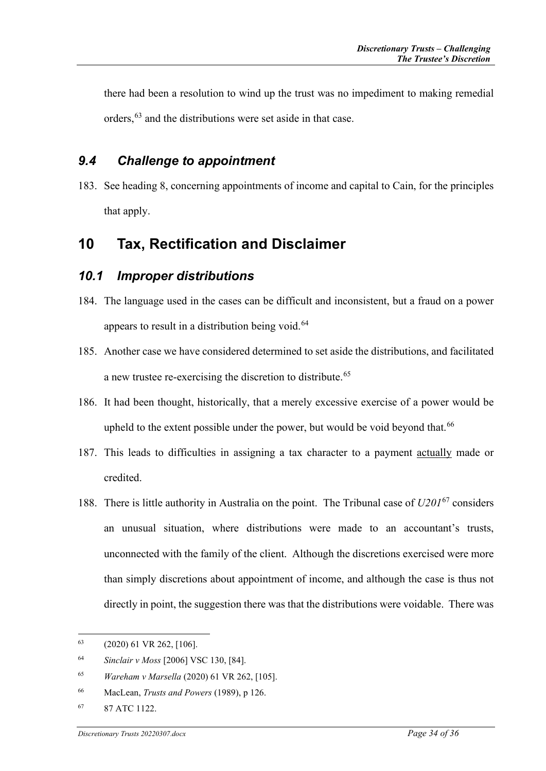there had been a resolution to wind up the trust was no impediment to making remedial orders,<sup>[63](#page-33-3)</sup> and the distributions were set aside in that case.

### <span id="page-33-0"></span>*9.4 Challenge to appointment*

183. See heading [8,](#page-27-0) concerning appointments of income and capital to Cain, for the principles that apply.

## <span id="page-33-1"></span>**10 Tax, Rectification and Disclaimer**

### <span id="page-33-2"></span>*10.1 Improper distributions*

- 184. The language used in the cases can be difficult and inconsistent, but a fraud on a power appears to result in a distribution being void.<sup>[64](#page-33-4)</sup>
- 185. Another case we have considered determined to set aside the distributions, and facilitated a new trustee re-exercising the discretion to distribute.<sup>[65](#page-33-5)</sup>
- 186. It had been thought, historically, that a merely excessive exercise of a power would be upheld to the extent possible under the power, but would be void beyond that.<sup>[66](#page-33-6)</sup>
- 187. This leads to difficulties in assigning a tax character to a payment actually made or credited.
- 188. There is little authority in Australia on the point. The Tribunal case of *U201*[67](#page-33-7) considers an unusual situation, where distributions were made to an accountant's trusts, unconnected with the family of the client. Although the discretions exercised were more than simply discretions about appointment of income, and although the case is thus not directly in point, the suggestion there was that the distributions were voidable. There was

<span id="page-33-3"></span><sup>63</sup> (2020) 61 VR 262, [106].

<span id="page-33-4"></span><sup>64</sup> *Sinclair v Moss* [2006] VSC 130, [84].

<span id="page-33-5"></span><sup>65</sup> *Wareham v Marsella* (2020) 61 VR 262, [105].

<span id="page-33-6"></span><sup>66</sup> MacLean, *Trusts and Powers* (1989), p 126.

<span id="page-33-7"></span><sup>67</sup> 87 ATC 1122.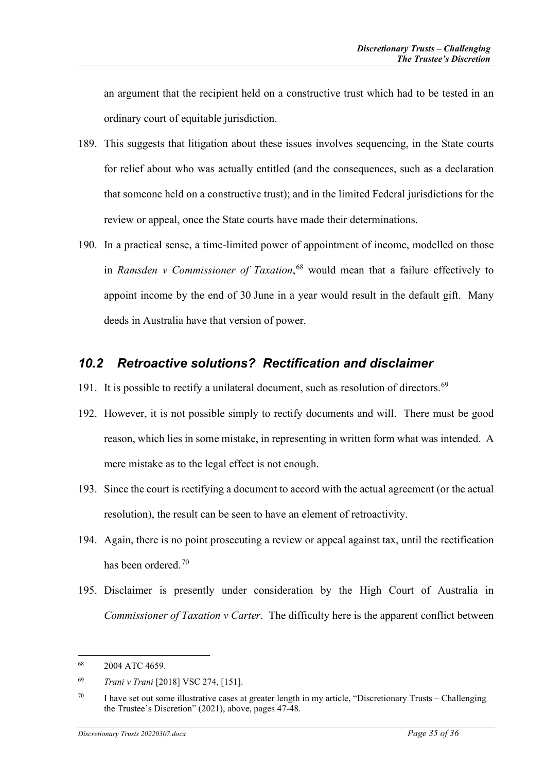an argument that the recipient held on a constructive trust which had to be tested in an ordinary court of equitable jurisdiction.

- 189. This suggests that litigation about these issues involves sequencing, in the State courts for relief about who was actually entitled (and the consequences, such as a declaration that someone held on a constructive trust); and in the limited Federal jurisdictions for the review or appeal, once the State courts have made their determinations.
- 190. In a practical sense, a time-limited power of appointment of income, modelled on those in *Ramsden v Commissioner of Taxation*, [68](#page-34-1) would mean that a failure effectively to appoint income by the end of 30 June in a year would result in the default gift. Many deeds in Australia have that version of power.

### <span id="page-34-0"></span>*10.2 Retroactive solutions? Rectification and disclaimer*

- 191. It is possible to rectify a unilateral document, such as resolution of directors. $69$
- 192. However, it is not possible simply to rectify documents and will. There must be good reason, which lies in some mistake, in representing in written form what was intended. A mere mistake as to the legal effect is not enough.
- 193. Since the court is rectifying a document to accord with the actual agreement (or the actual resolution), the result can be seen to have an element of retroactivity.
- 194. Again, there is no point prosecuting a review or appeal against tax, until the rectification has been ordered.<sup>[70](#page-34-3)</sup>
- 195. Disclaimer is presently under consideration by the High Court of Australia in *Commissioner of Taxation v Carter*. The difficulty here is the apparent conflict between

<span id="page-34-1"></span><sup>68</sup> 2004 ATC 4659.

<span id="page-34-2"></span><sup>69</sup> *Trani v Trani* [2018] VSC 274, [151].

<span id="page-34-3"></span><sup>&</sup>lt;sup>70</sup> I have set out some illustrative cases at greater length in my article, "Discretionary Trusts – Challenging the Trustee's Discretion" (2021), above, pages 47-48.